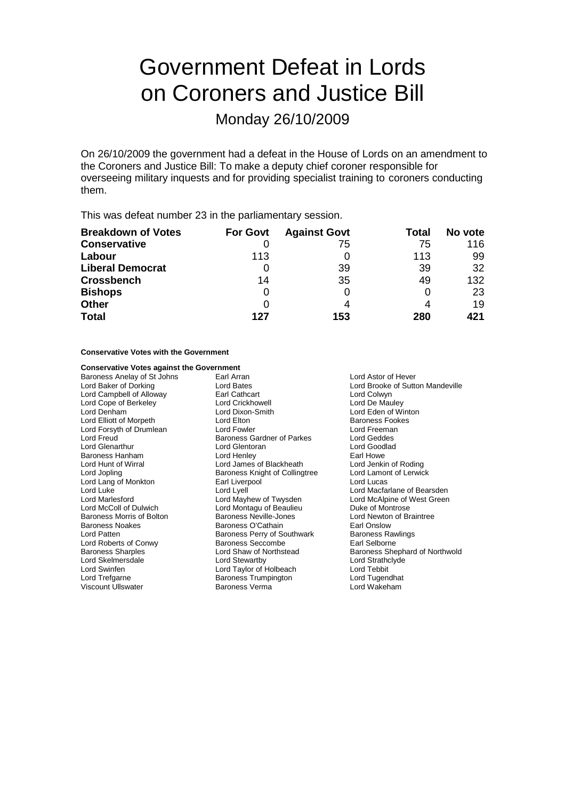# Government Defeat in Lords on Coroners and Justice Bill

Monday 26/10/2009

On 26/10/2009 the government had a defeat in the House of Lords on an amendment to the Coroners and Justice Bill: To make a deputy chief coroner responsible for overseeing military inquests and for providing specialist training to coroners conducting them.

This was defeat number 23 in the parliamentary session.

| <b>Breakdown of Votes</b> | <b>For Govt</b> | <b>Against Govt</b> | Total | No vote |
|---------------------------|-----------------|---------------------|-------|---------|
| <b>Conservative</b>       |                 | 75                  | 75    | 116     |
| Labour                    | 113             |                     | 113   | 99      |
| <b>Liberal Democrat</b>   |                 | 39                  | 39    | 32      |
| <b>Crossbench</b>         | 14              | 35                  | 49    | 132     |
| <b>Bishops</b>            | 0               | 0                   |       | 23      |
| <b>Other</b>              |                 | 4                   |       | 19      |
| <b>Total</b>              | 127             | 153                 | 280   | 421     |

## **Conservative Votes with the Government**

## **Conservative Votes against the Government**

Baroness Anelay of St Johns Earl Arran and Earl Arran Lord Astor of Hever<br>
Lord Baker of Dorking Lord Bates Lord Brooke of Sutte Lord Campbell of Alloway **Earl Cathcart** Earl Cathcart **Lord Colwyn**<br>
Lord Cope of Berkeley **Earl Cathcart** Lord Crickhowell **Early Colle** Colwyn Lord Cope of Berkeley **Lord Crickhowell**<br>
Lord Denham **Lord Dixon-Smith** Lord Elliott of Morpeth **Lord Elton** Lord Elton **Baroness Fookes**<br>
Lord Forsyth of Drumlean **Baroness Example 20** Lord Exemple 1 Lord Forsyth of Drumlean Lord Fowler Lord Farkes Lord Freeman<br>
Lord Freud Ceddes Baroness Gardner of Parkes Lord Geddes Lord Glenarthur Lord Glentoran Lord Goodlad Baroness Hanham **Earl Homes Earl Howe**<br>
Lord Hunt of Wirral **New York Henrich Cord James of Blackheath** Cord Jenkin of Roding Lord Jopling **Baroness Knight of Collingtree** Lord Lang of Monkton **Earl Liverpool** Cord Lucas Lord Lucas<br>
Lord Luke Lord Lord Lord Lyell<br>
Lord Lord Macfa Lord Marlesford Lord Mayhew of Twysden<br>
Lord McColl of Dulwich Lord Montagu of Beaulieu Baroness Morris of Bolton Baroness Neville-Jones Community Lord Newton of Braintree<br>Baroness Noakes Baroness O'Cathain Baroness O'Cathain Baroness Noakes **Baroness O'Cathain** Earl Onslow<br>
Lord Patten **Earl Onslow**<br>
Baroness Perry of Southwark **Earl Onslow**<br>
Baroness Rawlings Lord Roberts of Conwy **Baroness Seccombe** Earl Selborne<br>
Baroness Sharples<br>
Lord Shaw of Northstead<br>
Baroness She Lord Skelmersdale Lord Stewartby Lord Strathclyde Lord Trefgarne Baroness Trumpington Lord Tugendhat Viscount Ullswater

Baroness Gardner of Parkes Lord James of Blackheath Lord Jenkin of Roding<br>
Baroness Knight of Collingtree Lord Lamont of Lerwick Lord Montagu of Beaulieu Duke of Montrose Baroness Perry of Southwark Lord Taylor of Holbeach Lord Tebbit<br>
Baroness Trumpington Lord Tugendhat

Lord Baker of Dorking Lord Bates Lord Brooke of Sutton Mandeville Lord Eden of Winton Lord Luke<br>
Lord Macfarlane of Bearsden<br>
Lord Marlesford
Lord Machen Lord Machen Lord Machen Lord McAlpine of West Green Lord Shaw of Northstead Baroness Shephard of Northwold<br>
Lord Stewartby<br>
Lord Strathclyde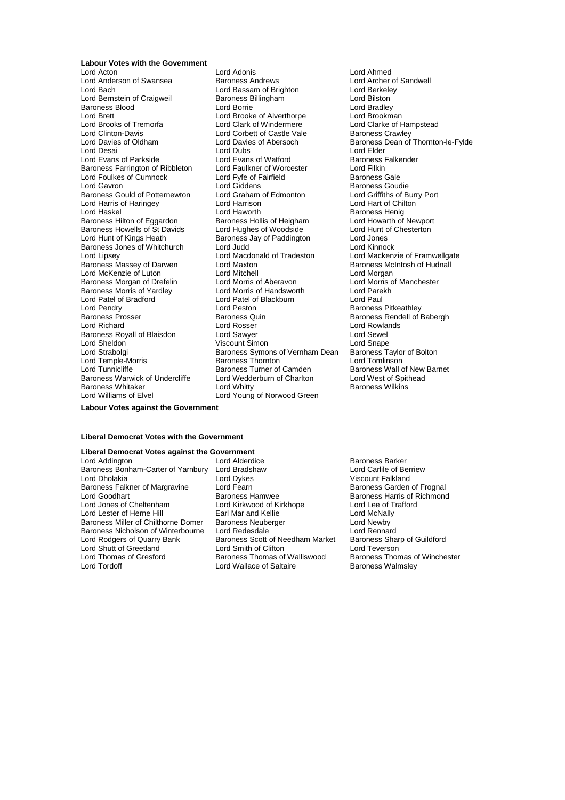**Labour Votes with the Government** Lord Acton Lord Adonis Lord Ahmed Lord Anderson of Swansea Baroness Andrews Lord Archer of Archer of Archer of Cord Archer of Baroness Andrews Lord Berkeley Lord Bernstein of Craigweil Baroness Blood **Exercise Server Accept Lord Borrie** Cord Brooker<br>
Lord Breed Lord Brooker Cord Brooker Cord Brooker Cord Brookman Lord Brooks of Tremorfa **Lord Clark of Windermere** Lord Clarke of Hampstead<br>
Lord Clinton-Davis **Lord Corbet of Castle Vale** Baroness Crawley Lord Clinton-Davis<br>
Lord Davies of Oldham<br>
Lord Davies of Abersoch Lord Davies of Oldham Lord Davies of Abersoch Baroness Dean of Thornton-le-Fylde<br>
Lord Dean Lord Davies of Abersoch Baroness Dean of Thornton-le-Fylde<br>
Lord Dean Lord Dubs Lord Elder Lord Evans of Parkside Lord Evans of Watford<br>Baroness Farrington of Ribbleton Lord Faulkner of Worcester Baroness Farrington of Ribbleton Lord Faulkner of Worcester Lord Filkin<br>Lord Foulkes of Cumnock Lord Fvfe of Fairfield Baroness Gale Lord Foulkes of Cumnock<br>
Lord Fyfe of F<br>
Lord Gavron Lord Giddens Lord Gavron **Lord Giddens**<br>
Baroness Gould of Potternewton **Lord Graham of Edmonton Lord Griffiths of Burry Port** Baroness Gould of Potternewton Lord Graham of Edmonton Lord Griffiths of Burry Cord Harrison Lord Harrison Lord Harrison Lord Harris of Haringey Lord Harrison<br>
Lord Haskel Cord Haworth Lord Haskel Lord Haworth Lord Haworth Charless Henig<br>
Baroness Hilton of Eggardon Baroness Hollis of Heigham Lord Howarth of Newport Baroness Hilton of Eggardon Baroness Hollis of Heigham Lord Howarth of Newpor<br>Baroness Howells of St Davids Lord Hughes of Woodside Lord Hunt of Chesterton Baroness Howells of St Davids Lord Hughes of Woodside Lord Hunt c<br>Lord Hunt of Kings Heath Baroness Jav of Paddington Lord Jones Baroness Jones of Whitchurch Lord Judd<br>
Lord Lipsey Lord Macdonald of Tradeston Lord Lipsey Lord Macdonald of Tradeston Lord Mackenzie of Framwellgate<br>Baroness Massey of Darwen Lord Maxton Cord Maxton Baroness McIntosh of Hudnall Lord McKenzie of Luton **Lord Mitchell** Lord Mercure Lord Morgan<br>
Baroness Morgan of Drefelin Lord Morris of Aberavon Lord Morris of Manchester Baroness Morgan of Drefelin Lord Morris of Aberavon<br>
Baroness Morris of Yardley Lord Morris of Handsworth Lord Parekh Baroness Morris of Yardley Lord Morris of Handsworth Lord Pare<br>
Lord Patel of Bradford Lord Patel of Blackburn Lord Paul Lord Patel of Bradford Lord Patel of Blackburn<br>
Lord Pendry Lord Peston Lord Pendry Lord Peston Baroness Pitkeathley<br>Baroness Prosser Baroness Disconness Prosser Baroness Prosser Baroness Andell of Baroness Rendell of B Baroness Prosser Baroness Quin Baroness Rendell of Babergh Baroness Royall of Blaisdon Lord Sheldon **Community Community Community** Viscount Simon **Lord Shape**<br>
Lord Strabolgi **Community Community Community Community Community Community Community Community Community Commun** Lord Temple-Morris **Example - Baroness Thornton Lord Temple-Morris**<br>
Lord Tunnicliffe **Baroness Turner** of Camden Baroness Warwick of Undercliffe Lord Wedderburn of Charlton Lord West of Spithead<br>Baroness Whitaker Lord Whitty Lord Whitty Baroness Wilkins Baroness Whitaker **Lord Whitty**<br>
Lord Williams of Elvel **Lord Young** 

Lord Bassam of Brighton Lord Berkele<br>
Baroness Billingham Cord Bilston Lord Brooke of Alverthorpe Lord Dubs<br>
Lord Evans of Watford<br>
Baroness Falkender Lord Hunt of Kings Heath Baroness Jay of Paddington Lord Jones Lord Maxton **Baroness McIntosh of Hudnall**<br>
Lord Mitchell **Lord Morgan** Lord Rosser Lord Rowlands<br>
Lord Sawyer Lord Sewel Baroness Symons of Vernham Dean Baroness Taylor<br>Baroness Thornton Lord Tomlinson **Exercise Baroness Turner of Camden** Baroness Wall of New Barnet<br>
Lord Wedderburn of Charlton Lord West of Spithead Lord Young of Norwood Green

**Labour Votes against the Government**

### **Liberal Democrat Votes with the Government**

## **Liberal Democrat Votes against the Government**

Baroness Bonham-Carter of Yarnbury Lord Bradshaw<br>Lord Dholakia berriew Lord Dykes Baroness Falkner of Margravine and Lord Fearn and Exercise and Baroness Garden of Frognal Baroness Haroness Ha<br>Lord Goodhart and Baroness Hamwee and Baroness Harris of Richmone Lord Goodhart <sup>T</sup> Baroness Hamwee Baroness Harris of Richmond<br>
Lord Jones of Cheltenham Lord Kirkwood of Kirkhope Lord Lee of Trafford Lord Lester of Herne Hill Baroness Miller of Chilthorne Domer Baroness Neuberger **Lord Newby Lord Newby Baroness Network**<br>Baroness Nicholson of Winterbourne Lord Redesdale **Lord Rennard** Baroness Nicholson of Winterbourne Lord Redesdale [15] Lord Rennard<br>Lord Rodgers of Quarry Bank [15] Baroness Scott of Needham Market | Baroness Sharp of Guildford Lord Shutt of Greetland Lord Smith of Clifton<br>
Lord Thomas of Greetland Baroness Thomas of Walliswood Baroness Thomas of Winchester Lord Thomas of Gresford Baroness Thomas of Walliswood Baroness Thomas of Wallace of Saltaire<br>Lord Tordoff Baroness Walmsley

Lord Kirkwood of Kirkhope Lord Lee of T<br>
Earl Mar and Kellie Cheltenham Lord McNally Express Scott of Needham Market Baroness Shar<br>Lord Smith of Clifton Lord Teverson Lord Wallace of Saltaire

Baroness Barker<br>Lord Carlile of Berriew Viscount Falkland